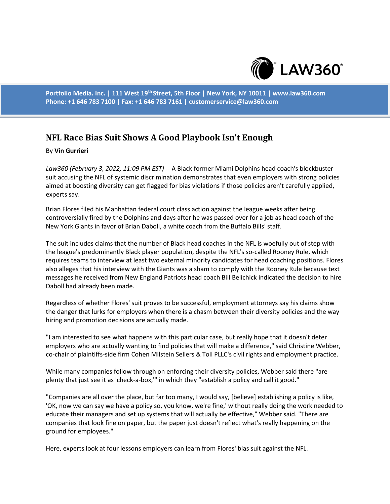

**Portfolio Media. Inc. | 111 West 19th Street, 5th Floor | New York, NY 10011 | www.law360.com Phone: +1 646 783 7100 | Fax: +1 646 783 7161 | customerservice@law360.com**

# **NFL Race Bias Suit Shows A Good Playbook Isn't Enough**

### By **Vin Gurrieri**

*Law360 (February 3, 2022, 11:09 PM EST)* -- A Black former Miami Dolphins head coach's blockbuster suit accusing the NFL of systemic discrimination demonstrates that even employers with strong policies aimed at boosting diversity can get flagged for bias violations if those policies aren't carefully applied, experts say.

Brian Flores filed his Manhattan federal court class action against the league weeks after being controversially fired by the Dolphins and days after he was passed over for a job as head coach of the New York Giants in favor of Brian Daboll, a white coach from the Buffalo Bills' staff.

The suit includes claims that the number of Black head coaches in the NFL is woefully out of step with the league's predominantly Black player population, despite the NFL's so-called Rooney Rule, which requires teams to interview at least two external minority candidates for head coaching positions. Flores also alleges that his interview with the Giants was a sham to comply with the Rooney Rule because text messages he received from New England Patriots head coach Bill Belichick indicated the decision to hire Daboll had already been made.

Regardless of whether Flores' suit proves to be successful, employment attorneys say his claims show the danger that lurks for employers when there is a chasm between their diversity policies and the way hiring and promotion decisions are actually made.

"I am interested to see what happens with this particular case, but really hope that it doesn't deter employers who are actually wanting to find policies that will make a difference," said Christine Webber, co-chair of plaintiffs-side firm Cohen Milstein Sellers & Toll PLLC's civil rights and employment practice.

While many companies follow through on enforcing their diversity policies, Webber said there "are plenty that just see it as 'check-a-box,'" in which they "establish a policy and call it good."

"Companies are all over the place, but far too many, I would say, [believe] establishing a policy is like, 'OK, now we can say we have a policy so, you know, we're fine,' without really doing the work needed to educate their managers and set up systems that will actually be effective," Webber said. "There are companies that look fine on paper, but the paper just doesn't reflect what's really happening on the ground for employees."

Here, experts look at four lessons employers can learn from Flores' bias suit against the NFL.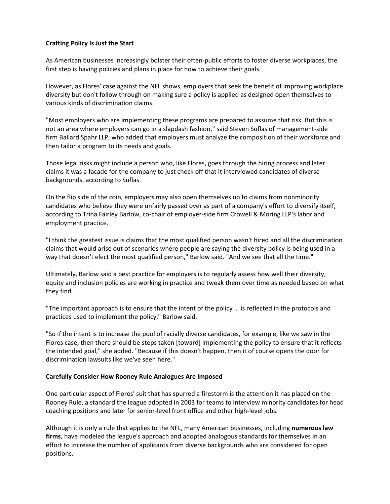# **Crafting Policy Is Just the Start**

As American businesses increasingly bolster their often-public efforts to foster diverse workplaces, the first step is having policies and plans in place for how to achieve their goals.

However, as Flores' case against the NFL shows, employers that seek the benefit of improving workplace diversity but don't follow through on making sure a policy is applied as designed open themselves to various kinds of discrimination claims.

"Most employers who are implementing these programs are prepared to assume that risk. But this is not an area where employers can go in a slapdash fashion," said Steven Suflas of management-side firm Ballard Spahr LLP, who added that employers must analyze the composition of their workforce and then tailor a program to its needs and goals.

Those legal risks might include a person who, like Flores, goes through the hiring process and later claims it was a facade for the company to just check off that it interviewed candidates of diverse backgrounds, according to Suflas.

On the flip side of the coin, employers may also open themselves up to claims from nonminority candidates who believe they were unfairly passed over as part of a company's effort to diversify itself, according to Trina Fairley Barlow, co-chair of employer-side firm Crowell & Moring LLP's labor and employment practice.

"I think the greatest issue is claims that the most qualified person wasn't hired and all the discrimination claims that would arise out of scenarios where people are saying the diversity policy is being used in a way that doesn't elect the most qualified person," Barlow said. "And we see that all the time."

Ultimately, Barlow said a best practice for employers is to regularly assess how well their diversity, equity and inclusion policies are working in practice and tweak them over time as needed based on what they find.

"The important approach is to ensure that the intent of the policy … is reflected in the protocols and practices used to implement the policy," Barlow said.

"So if the intent is to increase the pool of racially diverse candidates, for example, like we saw in the Flores case, then there should be steps taken [toward] implementing the policy to ensure that it reflects the intended goal," she added. "Because if this doesn't happen, then it of course opens the door for discrimination lawsuits like we've seen here."

# **Carefully Consider How Rooney Rule Analogues Are Imposed**

One particular aspect of Flores' suit that has spurred a firestorm is the attention it has placed on the Rooney Rule, a standard the league adopted in 2003 for teams to interview minority candidates for head coaching positions and later for senior-level front office and other high-level jobs.

Although it is only a rule that applies to the NFL, many American businesses, including **numerous law firms**, have modeled the league's approach and adopted analogous standards for themselves in an effort to increase the number of applicants from diverse backgrounds who are considered for open positions.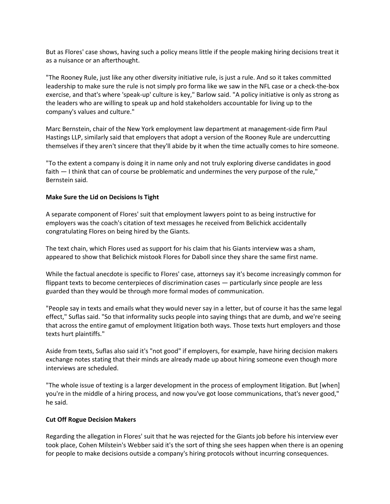But as Flores' case shows, having such a policy means little if the people making hiring decisions treat it as a nuisance or an afterthought.

"The Rooney Rule, just like any other diversity initiative rule, is just a rule. And so it takes committed leadership to make sure the rule is not simply pro forma like we saw in the NFL case or a check-the-box exercise, and that's where 'speak-up' culture is key," Barlow said. "A policy initiative is only as strong as the leaders who are willing to speak up and hold stakeholders accountable for living up to the company's values and culture."

Marc Bernstein, chair of the New York employment law department at management-side firm Paul Hastings LLP, similarly said that employers that adopt a version of the Rooney Rule are undercutting themselves if they aren't sincere that they'll abide by it when the time actually comes to hire someone.

"To the extent a company is doing it in name only and not truly exploring diverse candidates in good faith — I think that can of course be problematic and undermines the very purpose of the rule," Bernstein said.

### **Make Sure the Lid on Decisions Is Tight**

A separate component of Flores' suit that employment lawyers point to as being instructive for employers was the coach's citation of text messages he received from Belichick accidentally congratulating Flores on being hired by the Giants.

The text chain, which Flores used as support for his claim that his Giants interview was a sham, appeared to show that Belichick mistook Flores for Daboll since they share the same first name.

While the factual anecdote is specific to Flores' case, attorneys say it's become increasingly common for flippant texts to become centerpieces of discrimination cases — particularly since people are less guarded than they would be through more formal modes of communication.

"People say in texts and emails what they would never say in a letter, but of course it has the same legal effect," Suflas said. "So that informality sucks people into saying things that are dumb, and we're seeing that across the entire gamut of employment litigation both ways. Those texts hurt employers and those texts hurt plaintiffs."

Aside from texts, Suflas also said it's "not good" if employers, for example, have hiring decision makers exchange notes stating that their minds are already made up about hiring someone even though more interviews are scheduled.

"The whole issue of texting is a larger development in the process of employment litigation. But [when] you're in the middle of a hiring process, and now you've got loose communications, that's never good," he said.

#### **Cut Off Rogue Decision Makers**

Regarding the allegation in Flores' suit that he was rejected for the Giants job before his interview ever took place, Cohen Milstein's Webber said it's the sort of thing she sees happen when there is an opening for people to make decisions outside a company's hiring protocols without incurring consequences.